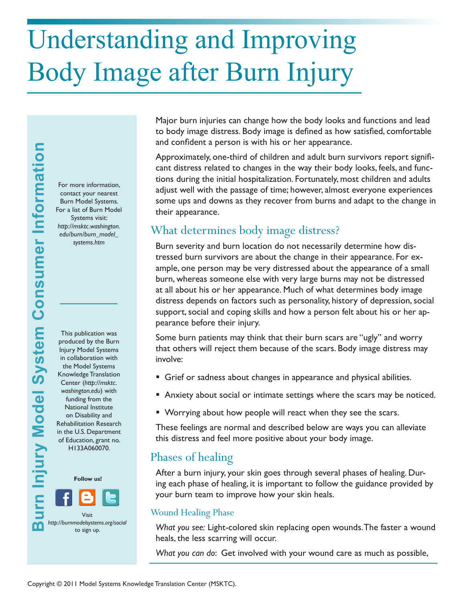# Understanding and Improving Body Image after Burn Injury

For more information, contact your nearest Burn Model Systems. For a list of Burn Model Systems visit: *http://msktc.washington. edu/burn/burn\_model\_ systems.htm*

This publication was produced by the Burn Injury Model Systems in collaboration with the Model Systems Knowledge Translation Center (*http://msktc. washington.edu*) with funding from the National Institute on Disability and Rehabilitation Research in the U.S. Department of Education, grant no. H133A060070.



Major burn injuries can change how the body looks and functions and lead to body image distress. Body image is defined as how satisfied, comfortable and confident a person is with his or her appearance.

Approximately, one-third of children and adult burn survivors report significant distress related to changes in the way their body looks, feels, and functions during the initial hospitalization. Fortunately, most children and adults adjust well with the passage of time; however, almost everyone experiences some ups and downs as they recover from burns and adapt to the change in their appearance.

# What determines body image distress?

Burn severity and burn location do not necessarily determine how distressed burn survivors are about the change in their appearance. For example, one person may be very distressed about the appearance of a small burn, whereas someone else with very large burns may not be distressed at all about his or her appearance. Much of what determines body image distress depends on factors such as personality, history of depression, social support, social and coping skills and how a person felt about his or her appearance before their injury.

Some burn patients may think that their burn scars are "ugly" and worry that others will reject them because of the scars. Body image distress may involve:

- Grief or sadness about changes in appearance and physical abilities.
- Anxiety about social or intimate settings where the scars may be noticed.
- Worrying about how people will react when they see the scars.

These feelings are normal and described below are ways you can alleviate this distress and feel more positive about your body image.

# Phases of healing

After a burn injury, your skin goes through several phases of healing. During each phase of healing, it is important to follow the guidance provided by your burn team to improve how your skin heals.

### Wound Healing Phase

*What you see:* Light-colored skin replacing open wounds. The faster a wound heals, the less scarring will occur.

*What you can do*: Get involved with your wound care as much as possible,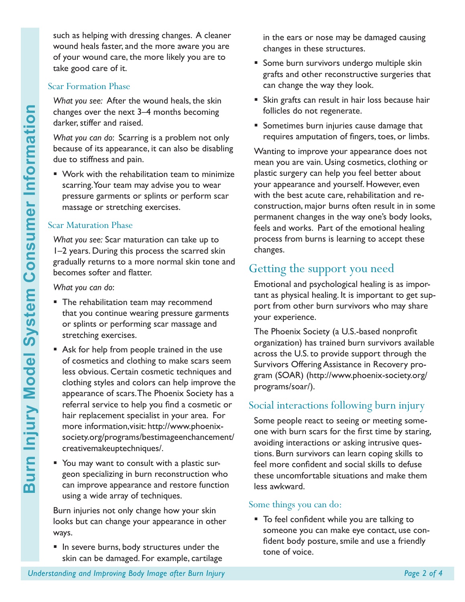such as helping with dressing changes. A cleaner wound heals faster, and the more aware you are of your wound care, the more likely you are to take good care of it.

#### Scar Formation Phase

*What you see:* After the wound heals, the skin changes over the next 3–4 months becoming darker, stiffer and raised.

*What you can do*: Scarring is a problem not only because of its appearance, it can also be disabling due to stiffness and pain.

 Work with the rehabilitation team to minimize scarring. Your team may advise you to wear pressure garments or splints or perform scar massage or stretching exercises.

#### Scar Maturation Phase

*What you see:* Scar maturation can take up to 1–2 years. During this process the scarred skin gradually returns to a more normal skin tone and becomes softer and flatter.

*What you can do*:

- **The rehabilitation team may recommend** that you continue wearing pressure garments or splints or performing scar massage and stretching exercises.
- **Understanding and Improving and Improving the next 3–4 months becoming What you con do: Scaring is a problem not online because of its appearance, it can also be disabile to stiffness and pain.<br>
<b>Varior wintine the metall**  Ask for help from people trained in the use of cosmetics and clothing to make scars seem less obvious. Certain cosmetic techniques and clothing styles and colors can help improve the appearance of scars. The Phoenix Society has a referral service to help you find a cosmetic or hair replacement specialist in your area. For more information,visit: http://www.phoenixsociety.org/programs/bestimageenchancement/ creativemakeuptechniques/.
	- You may want to consult with a plastic surgeon specializing in burn reconstruction who can improve appearance and restore function using a wide array of techniques.

Burn injuries not only change how your skin looks but can change your appearance in other ways.

In severe burns, body structures under the skin can be damaged. For example, cartilage in the ears or nose may be damaged causing changes in these structures.

- **Some burn survivors undergo multiple skin** grafts and other reconstructive surgeries that can change the way they look.
- **Skin grafts can result in hair loss because hair** follicles do not regenerate.
- **Sometimes burn injuries cause damage that** requires amputation of fingers, toes, or limbs.

Wanting to improve your appearance does not mean you are vain. Using cosmetics, clothing or plastic surgery can help you feel better about your appearance and yourself. However, even with the best acute care, rehabilitation and reconstruction, major burns often result in in some permanent changes in the way one's body looks, feels and works. Part of the emotional healing process from burns is learning to accept these changes.

# Getting the support you need

Emotional and psychological healing is as important as physical healing. It is important to get support from other burn survivors who may share your experience.

The Phoenix Society (a U.S.-based nonprofit organization) has trained burn survivors available across the U.S. to provide support through the Survivors Offering Assistance in Recovery program (SOAR) (http://www.phoenix-society.org/ programs/soar/).

## Social interactions following burn injury

Some people react to seeing or meeting someone with burn scars for the first time by staring, avoiding interactions or asking intrusive questions. Burn survivors can learn coping skills to feel more confident and social skills to defuse these uncomfortable situations and make them less awkward.

#### Some things you can do:

 To feel confident while you are talking to someone you can make eye contact, use confident body posture, smile and use a friendly tone of voice.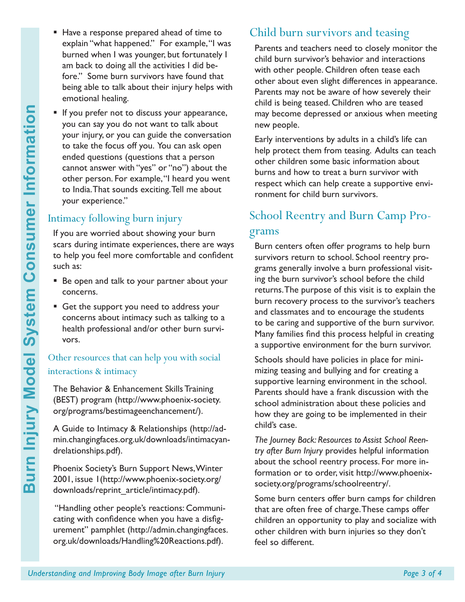- 
- Have a response prepared ahead of time to explain "what happened." For example, "I was burned when I was younger, but fortunately I am back to doing all the activities I did before." Some burn survivors have found that being able to talk about their injury helps with emotional healing.
- **Understanding and Improving and Improving Body Image and Improving Body Image and Improving Consumer Consumer Consumer Consumer Consumer Consumer Consumer Consumer Consumer Consumer Consumer System Consumer Consumer Consu** If you prefer not to discuss your appearance, you can say you do not want to talk about your injury, or you can guide the conversation to take the focus off you. You can ask open ended questions (questions that a person cannot answer with "yes" or "no") about the other person. For example, "I heard you went to India. That sounds exciting. Tell me about your experience."

# Intimacy following burn injury

If you are worried about showing your burn scars during intimate experiences, there are ways to help you feel more comfortable and confident such as:

- Be open and talk to your partner about your concerns.
- Get the support you need to address your concerns about intimacy such as talking to a health professional and/or other burn survivors.

## Other resources that can help you with social interactions & intimacy

The Behavior & Enhancement Skills Training (BEST) program (http://www.phoenix-society. org/programs/bestimageenchancement/).

A Guide to Intimacy & Relationships (http://admin.changingfaces.org.uk/downloads/intimacyandrelationships.pdf).

Phoenix Society's Burn Support News, Winter 2001, issue 1(http://www.phoenix-society.org/ downloads/reprint\_article/intimacy.pdf).

 "Handling other people's reactions: Communicating with confidence when you have a disfigurement" pamphlet (http://admin.changingfaces. org.uk/downloads/Handling%20Reactions.pdf).

# Child burn survivors and teasing

Parents and teachers need to closely monitor the child burn survivor's behavior and interactions with other people. Children often tease each other about even slight differences in appearance. Parents may not be aware of how severely their child is being teased. Children who are teased may become depressed or anxious when meeting new people.

Early interventions by adults in a child's life can help protect them from teasing. Adults can teach other children some basic information about burns and how to treat a burn survivor with respect which can help create a supportive environment for child burn survivors.

# School Reentry and Burn Camp Programs

Burn centers often offer programs to help burn survivors return to school. School reentry programs generally involve a burn professional visiting the burn survivor's school before the child returns. The purpose of this visit is to explain the burn recovery process to the survivor's teachers and classmates and to encourage the students to be caring and supportive of the burn survivor. Many families find this process helpful in creating a supportive environment for the burn survivor.

Schools should have policies in place for minimizing teasing and bullying and for creating a supportive learning environment in the school. Parents should have a frank discussion with the school administration about these policies and how they are going to be implemented in their child's case.

*The Journey Back: Resources to Assist School Reentry after Burn Injury* provides helpful information about the school reentry process. For more information or to order, visit http://www.phoenixsociety.org/programs/schoolreentry/.

Some burn centers offer burn camps for children that are often free of charge. These camps offer children an opportunity to play and socialize with other children with burn injuries so they don't feel so different.